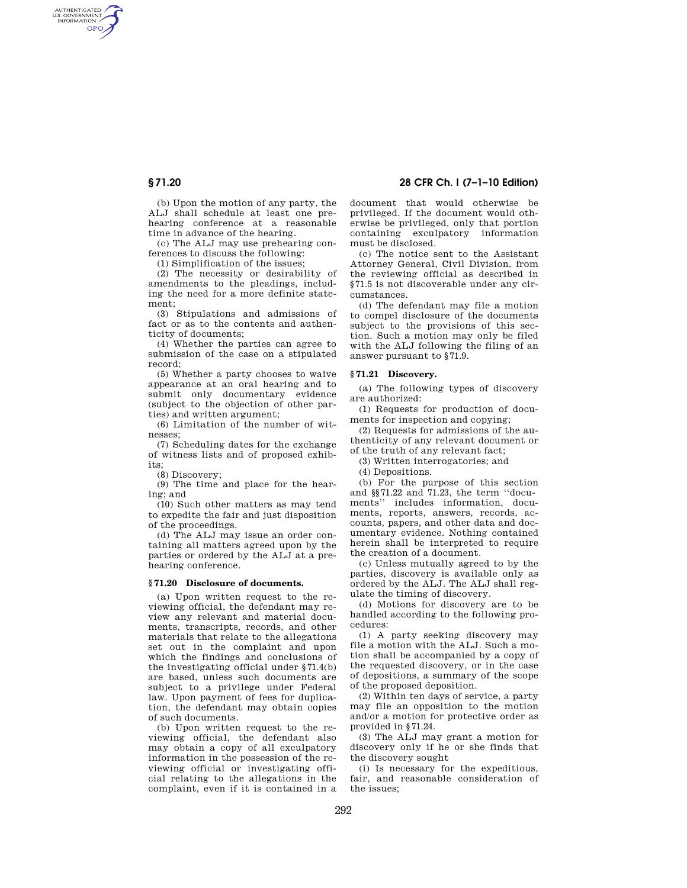AUTHENTICATED<br>U.S. GOVERNMENT<br>INFORMATION **GPO** 

> (b) Upon the motion of any party, the ALJ shall schedule at least one prehearing conference at a reasonable time in advance of the hearing.

(c) The ALJ may use prehearing conferences to discuss the following:

(1) Simplification of the issues;

(2) The necessity or desirability of amendments to the pleadings, including the need for a more definite statement;

(3) Stipulations and admissions of fact or as to the contents and authenticity of documents;

(4) Whether the parties can agree to submission of the case on a stipulated record;

(5) Whether a party chooses to waive appearance at an oral hearing and to submit only documentary evidence (subject to the objection of other parties) and written argument;

(6) Limitation of the number of witnesses;

(7) Scheduling dates for the exchange of witness lists and of proposed exhibits;

(8) Discovery;

(9) The time and place for the hearing; and

(10) Such other matters as may tend to expedite the fair and just disposition of the proceedings.

(d) The ALJ may issue an order containing all matters agreed upon by the parties or ordered by the ALJ at a prehearing conference.

#### **§ 71.20 Disclosure of documents.**

(a) Upon written request to the reviewing official, the defendant may review any relevant and material documents, transcripts, records, and other materials that relate to the allegations set out in the complaint and upon which the findings and conclusions of the investigating official under §71.4(b) are based, unless such documents are subject to a privilege under Federal law. Upon payment of fees for duplication, the defendant may obtain copies of such documents.

(b) Upon written request to the reviewing official, the defendant also may obtain a copy of all exculpatory information in the possession of the reviewing official or investigating official relating to the allegations in the complaint, even if it is contained in a

**§ 71.20 28 CFR Ch. I (7–1–10 Edition)** 

document that would otherwise be privileged. If the document would otherwise be privileged, only that portion containing exculpatory information must be disclosed.

(c) The notice sent to the Assistant Attorney General, Civil Division, from the reviewing official as described in §71.5 is not discoverable under any circumstances.

(d) The defendant may file a motion to compel disclosure of the documents subject to the provisions of this section. Such a motion may only be filed with the ALJ following the filing of an answer pursuant to §71.9.

# **§ 71.21 Discovery.**

(a) The following types of discovery are authorized:

(1) Requests for production of documents for inspection and copying;

(2) Requests for admissions of the authenticity of any relevant document or of the truth of any relevant fact;

(3) Written interrogatories; and

(4) Depositions.

(b) For the purpose of this section and §§71.22 and 71.23, the term ''documents'' includes information, documents, reports, answers, records, accounts, papers, and other data and documentary evidence. Nothing contained herein shall be interpreted to require the creation of a document.

(c) Unless mutually agreed to by the parties, discovery is available only as ordered by the ALJ. The ALJ shall regulate the timing of discovery.

(d) Motions for discovery are to be handled according to the following procedures:

(1) A party seeking discovery may file a motion with the ALJ. Such a motion shall be accompanied by a copy of the requested discovery, or in the case of depositions, a summary of the scope of the proposed deposition.

(2) Within ten days of service, a party may file an opposition to the motion and/or a motion for protective order as provided in §71.24.

(3) The ALJ may grant a motion for discovery only if he or she finds that the discovery sought

(i) Is necessary for the expeditious, fair, and reasonable consideration of the issues;